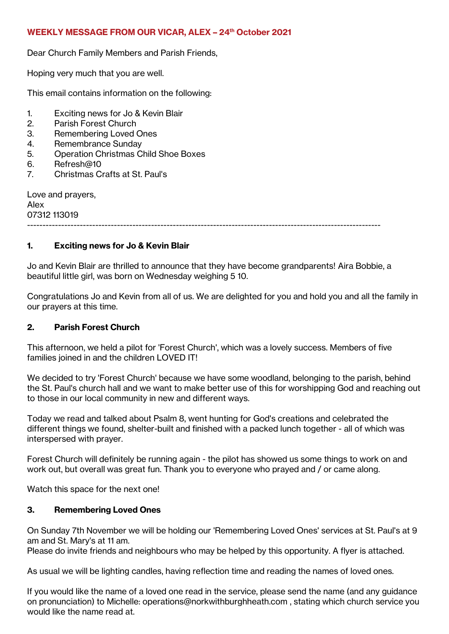## **WEEKLY MESSAGE FROM OUR VICAR, ALEX – 24 th October 2021**

Dear Church Family Members and Parish Friends,

Hoping very much that you are well.

This email contains information on the following:

- 1. Exciting news for Jo & Kevin Blair
- 2. Parish Forest Church
- 3. Remembering Loved Ones
- 4. Remembrance Sunday
- 5. Operation Christmas Child Shoe Boxes
- 6. Refresh@10
- 7. Christmas Crafts at St. Paul's

Love and prayers, Alex 07312 113019

------------------------------------------------------------------------------------------------------------------

# **1. Exciting news for Jo & Kevin Blair**

Jo and Kevin Blair are thrilled to announce that they have become grandparents! Aira Bobbie, a beautiful little girl, was born on Wednesday weighing 5 10.

Congratulations Jo and Kevin from all of us. We are delighted for you and hold you and all the family in our prayers at this time.

### **2. Parish Forest Church**

This afternoon, we held a pilot for 'Forest Church', which was a lovely success. Members of five families joined in and the children LOVED IT!

We decided to try 'Forest Church' because we have some woodland, belonging to the parish, behind the St. Paul's church hall and we want to make better use of this for worshipping God and reaching out to those in our local community in new and different ways.

Today we read and talked about Psalm 8, went hunting for God's creations and celebrated the different things we found, shelter-built and finished with a packed lunch together - all of which was interspersed with prayer.

Forest Church will definitely be running again - the pilot has showed us some things to work on and work out, but overall was great fun. Thank you to everyone who prayed and / or came along.

Watch this space for the next one!

# **3. Remembering Loved Ones**

On Sunday 7th November we will be holding our 'Remembering Loved Ones' services at St. Paul's at 9 am and St. Mary's at 11 am.

Please do invite friends and neighbours who may be helped by this opportunity. A flyer is attached.

As usual we will be lighting candles, having reflection time and reading the names of loved ones.

If you would like the name of a loved one read in the service, please send the name (and any guidance on pronunciation) to Michelle: operations@norkwithburghheath.com , stating which church service you would like the name read at.